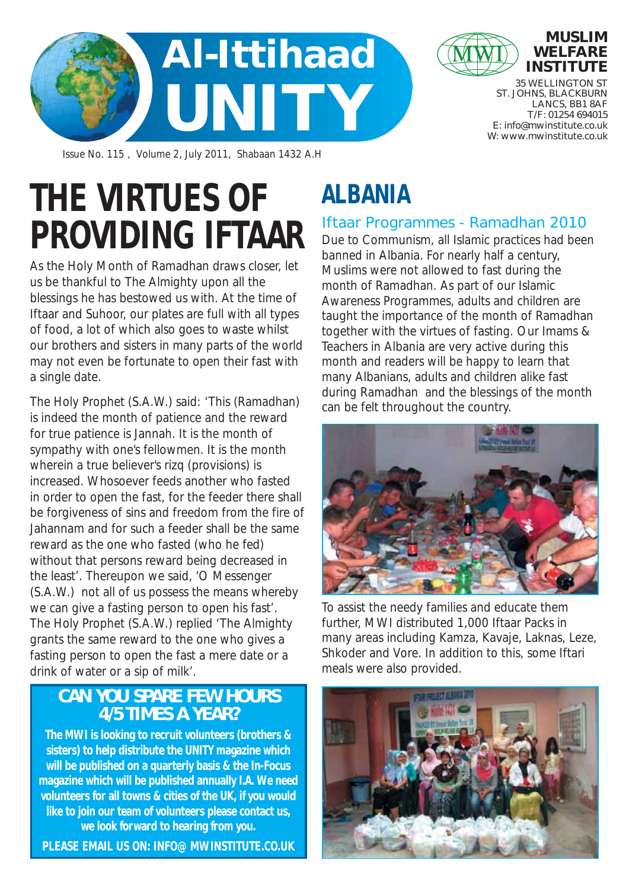



**INSTITUTE** 35 WELLINGTON ST ST. JOHNS, BLACKBURN LANCS, BB1 8AF T/F: 01254 694015

E: info@mwinstitute.co.uk W: www.mwinstitute.co.uk

**MUSLIM WELFARE** 

Issue No. 115 , Volume 2, July 2011, Shabaan 1432 A.H

# **THE VIRTUES OF PROVIDING IFTAAR**

As the Holy Month of Ramadhan draws closer, let us be thankful to The Almighty upon all the blessings he has bestowed us with. At the time of Iftaar and Suhoor, our plates are full with all types of food, a lot of which also goes to waste whilst our brothers and sisters in many parts of the world may not even be fortunate to open their fast with a single date.

The Holy Prophet (S.A.W.) said: 'This (Ramadhan) is indeed the month of patience and the reward for true patience is Jannah. It is the month of sympathy with one's fellowmen. It is the month wherein a true believer's rizq (provisions) is increased. Whosoever feeds another who fasted in order to open the fast, for the feeder there shall be forgiveness of sins and freedom from the fire of Jahannam and for such a feeder shall be the same reward as the one who fasted (who he fed) without that persons reward being decreased in the least'. Thereupon we said, 'O Messenger (S.A.W.) not all of us possess the means whereby we can give a fasting person to open his fast'. The Holy Prophet (S.A.W.) replied 'The Almighty grants the same reward to the one who gives a fasting person to open the fast a mere date or a drink of water or a sip of milk'.

### **CAN YOU SPARE FEW HOURS 4/5 TIMES A YEAR?**

**The MWI is looking to recruit volunteers (brothers & sisters) to help distribute the UNITY magazine which will be published on a quarterly basis & the In-Focus magazine which will be published annually I.A. We need volunteers for all towns & cities of the UK, if you would like to join our team of volunteers please contact us, we look forward to hearing from you.** 

**PLEASE EMAIL US ON: INFO@MWINSTITUTE.CO.UK**

# **ALBANIA**

### Iftaar Programmes - Ramadhan 2010

Due to Communism, all Islamic practices had been banned in Albania. For nearly half a century, Muslims were not allowed to fast during the month of Ramadhan. As part of our Islamic Awareness Programmes, adults and children are taught the importance of the month of Ramadhan together with the virtues of fasting. Our Imams & Teachers in Albania are very active during this month and readers will be happy to learn that many Albanians, adults and children alike fast during Ramadhan and the blessings of the month can be felt throughout the country.



To assist the needy families and educate them further, MWI distributed 1,000 Iftaar Packs in many areas including Kamza, Kavaje, Laknas, Leze, Shkoder and Vore. In addition to this, some Iftari meals were also provided.

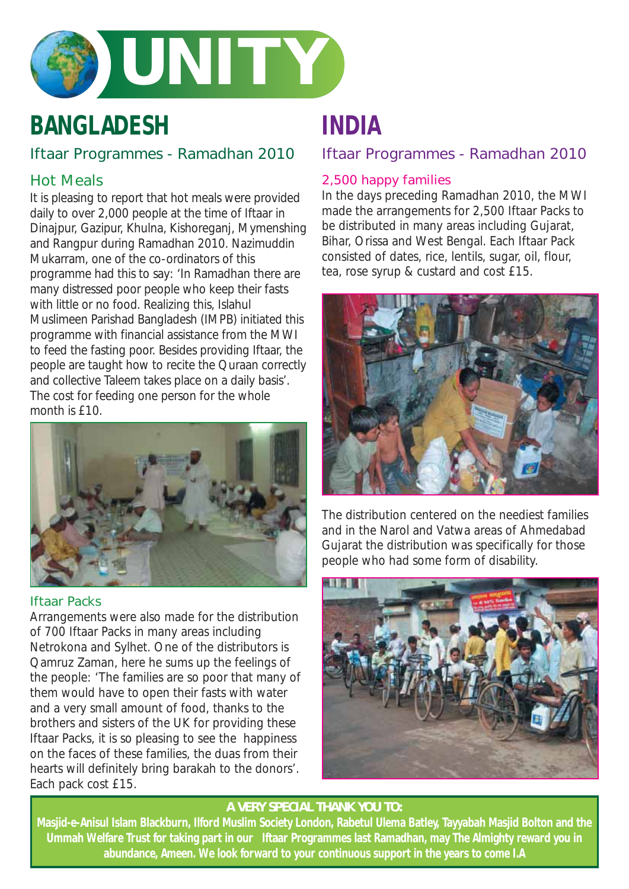

# **BANGLADESH**

### Iftaar Programmes - Ramadhan 2010

### Hot Meals

It is pleasing to report that hot meals were provided daily to over 2,000 people at the time of Iftaar in Dinajpur, Gazipur, Khulna, Kishoreganj, Mymenshing and Rangpur during Ramadhan 2010. Nazimuddin Mukarram, one of the co-ordinators of this programme had this to say: 'In Ramadhan there are many distressed poor people who keep their fasts with little or no food. Realizing this, Islahul Muslimeen Parishad Bangladesh (IMPB) initiated this programme with financial assistance from the MWI to feed the fasting poor. Besides providing Iftaar, the people are taught how to recite the Quraan correctly and collective Taleem takes place on a daily basis'. The cost for feeding one person for the whole month is £10.



### Iftaar Packs

Arrangements were also made for the distribution of 700 Iftaar Packs in many areas including Netrokona and Sylhet. One of the distributors is Qamruz Zaman, here he sums up the feelings of the people: 'The families are so poor that many of them would have to open their fasts with water and a very small amount of food, thanks to the brothers and sisters of the UK for providing these Iftaar Packs, it is so pleasing to see the happiness on the faces of these families, the duas from their hearts will definitely bring barakah to the donors'. Each pack cost £15.

## **INDIA**

### Iftaar Programmes - Ramadhan 2010

### 2,500 happy families

In the days preceding Ramadhan 2010, the MWI made the arrangements for 2,500 Iftaar Packs to be distributed in many areas including Gujarat, Bihar, Orissa and West Bengal. Each Iftaar Pack consisted of dates, rice, lentils, sugar, oil, flour, tea, rose syrup & custard and cost £15.



The distribution centered on the neediest families and in the Narol and Vatwa areas of Ahmedabad Gujarat the distribution was specifically for those people who had some form of disability.



### **A VERY SPECIAL THANK YOU TO:**

**Masjid-e-Anisul Islam Blackburn, Ilford Muslim Society London, Rabetul Ulema Batley, Tayyabah Masjid Bolton and the Ummah Welfare Trust for taking part in our Iftaar Programmes last Ramadhan, may The Almighty reward you in abundance, Ameen. We look forward to your continuous support in the years to come I.A**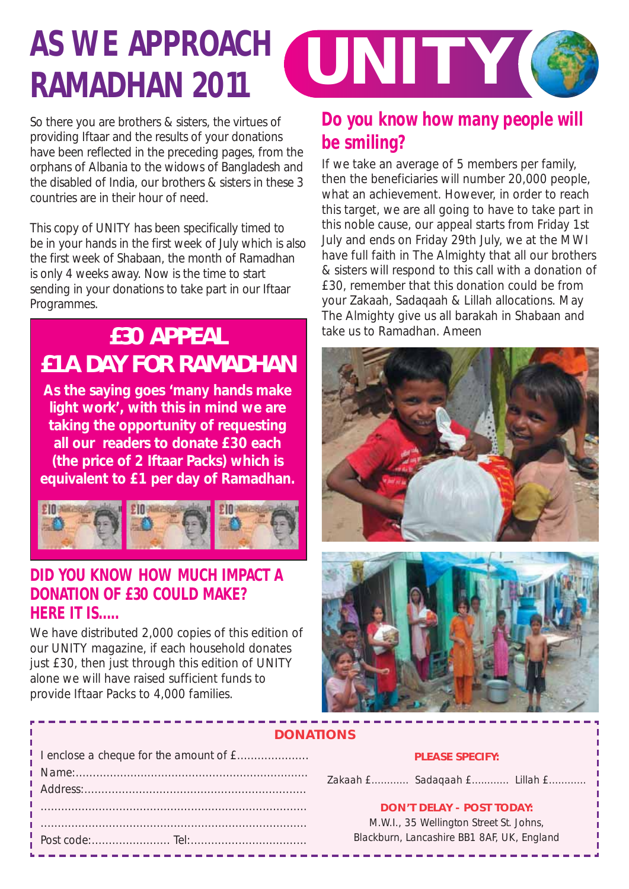# **RAMADHAN 2011**

**AS WE APPROACH WINITY GET** 

So there you are brothers & sisters, the virtues of providing Iftaar and the results of your donations have been reflected in the preceding pages, from the orphans of Albania to the widows of Bangladesh and the disabled of India, our brothers & sisters in these 3 countries are in their hour of need.

This copy of UNITY has been specifically timed to be in your hands in the first week of July which is also the first week of Shabaan, the month of Ramadhan is only 4 weeks away. Now is the time to start sending in your donations to take part in our Iftaar Programmes.

# **£30 APPEAL £1 A DAY FOR RAMADHAN**

**As the saying goes 'many hands make light work', with this in mind we are taking the opportunity of requesting all our readers to donate £30 each (the price of 2 Iftaar Packs) which is equivalent to £1 per day of Ramadhan.**



### **DID YOU KNOW HOW MUCH IMPACT A DONATION OF £30 COULD MAKE? HERE IT IS.....**

We have distributed 2,000 copies of this edition of our UNITY magazine, if each household donates just £30, then just through this edition of UNITY alone we will have raised sufficient funds to provide Iftaar Packs to 4,000 families.

### **Do you know how many people will be smiling?**

If we take an average of 5 members per family, then the beneficiaries will number 20,000 people, what an achievement. However, in order to reach this target, we are all going to have to take part in this noble cause, our appeal starts from Friday 1st July and ends on Friday 29th July, we at the MWI have full faith in The Almighty that all our brothers & sisters will respond to this call with a donation of £30, remember that this donation could be from your Zakaah, Sadaqaah & Lillah allocations. May The Almighty give us all barakah in Shabaan and take us to Ramadhan. Ameen





### **DONATIONS**

| Address: |  |
|----------|--|
|          |  |
|          |  |
|          |  |

### **PLEASE SPECIFY:**

Zakaah £.............. Sadaqaah £............... Lillah £..............

### **DON'T DELAY - POST TODAY:**

M.W.I., 35 Wellington Street St. Johns, Blackburn, Lancashire BB1 8AF, UK, England